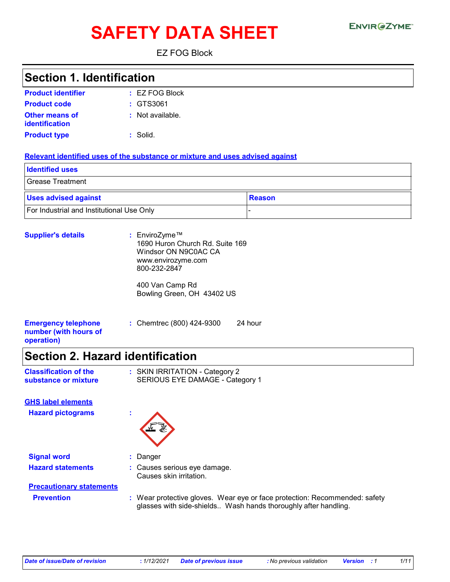# **SAFETY DATA SHEET**

EZ FOG Block

### **Section 1. Identification**

| <b>Product identifier</b>               | $\pm$ EZ FOG Block |
|-----------------------------------------|--------------------|
| <b>Product code</b>                     | $:$ GTS3061        |
| <b>Other means of</b><br>identification | : Not available.   |
| <b>Product type</b>                     | $:$ Solid.         |

#### **Relevant identified uses of the substance or mixture and uses advised against**

| <b>Identified uses</b>                    |        |
|-------------------------------------------|--------|
| Grease Treatment                          |        |
| <b>Uses advised against</b>               | Reason |
| For Industrial and Institutional Use Only |        |

| <b>Supplier's details</b>                                         | : EnviroZyme™<br>1690 Huron Church Rd. Suite 169<br>Windsor ON N9C0AC CA<br>www.envirozyme.com<br>800-232-2847 |  |
|-------------------------------------------------------------------|----------------------------------------------------------------------------------------------------------------|--|
|                                                                   | 400 Van Camp Rd<br>Bowling Green, OH 43402 US                                                                  |  |
| <b>Emergency telephone</b><br>number (with hours of<br>operation) | : Chemtrec (800) 424-9300<br>24 hour                                                                           |  |

### **Section 2. Hazard identification**

| <b>Classification of the</b> | : SKIN IRRITATION - Category 2  |
|------------------------------|---------------------------------|
| substance or mixture         | SERIOUS EYE DAMAGE - Category 1 |

**Hazard pictograms : GHS label elements**



**Signal word :** Danger **Hazard statements :** Causes serious eye damage.

Causes skin irritation.

**Precautionary statements**

**Prevention :** Wear protective gloves. Wear eye or face protection: Recommended: safety glasses with side-shields.. Wash hands thoroughly after handling.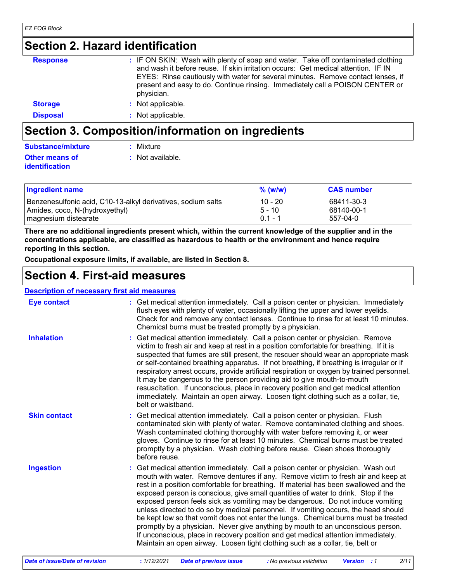### **Section 2. Hazard identification**

| <b>Response</b> | : IF ON SKIN: Wash with plenty of soap and water. Take off contaminated clothing<br>and wash it before reuse. If skin irritation occurs: Get medical attention. IF IN<br>EYES: Rinse cautiously with water for several minutes. Remove contact lenses, if<br>present and easy to do. Continue rinsing. Immediately call a POISON CENTER or<br>physician. |
|-----------------|----------------------------------------------------------------------------------------------------------------------------------------------------------------------------------------------------------------------------------------------------------------------------------------------------------------------------------------------------------|
| <b>Storage</b>  | : Not applicable.                                                                                                                                                                                                                                                                                                                                        |
| <b>Disposal</b> | : Not applicable.                                                                                                                                                                                                                                                                                                                                        |

### **Section 3. Composition/information on ingredients**

| <b>Substance/mixture</b> | : Mixture        |
|--------------------------|------------------|
| <b>Other means of</b>    | : Not available. |
| <b>identification</b>    |                  |

| <b>Ingredient name</b>                                       | $%$ (w/w) | <b>CAS</b> number |
|--------------------------------------------------------------|-----------|-------------------|
| Benzenesulfonic acid, C10-13-alkyl derivatives, sodium salts | $10 - 20$ | 68411-30-3        |
| Amides, coco, N-(hydroxyethyl)                               | $5 - 10$  | 68140-00-1        |
| magnesium distearate                                         | በ 1 - 1   | 557-04-0          |

**There are no additional ingredients present which, within the current knowledge of the supplier and in the concentrations applicable, are classified as hazardous to health or the environment and hence require reporting in this section.**

**Occupational exposure limits, if available, are listed in Section 8.**

### **Section 4. First-aid measures**

#### **Description of necessary first aid measures**

| <b>Eye contact</b>  | : Get medical attention immediately. Call a poison center or physician. Immediately<br>flush eyes with plenty of water, occasionally lifting the upper and lower eyelids.<br>Check for and remove any contact lenses. Continue to rinse for at least 10 minutes.<br>Chemical burns must be treated promptly by a physician.                                                                                                                                                                                                                                                                                                                                                                                                                                                                                                                                              |
|---------------------|--------------------------------------------------------------------------------------------------------------------------------------------------------------------------------------------------------------------------------------------------------------------------------------------------------------------------------------------------------------------------------------------------------------------------------------------------------------------------------------------------------------------------------------------------------------------------------------------------------------------------------------------------------------------------------------------------------------------------------------------------------------------------------------------------------------------------------------------------------------------------|
| <b>Inhalation</b>   | : Get medical attention immediately. Call a poison center or physician. Remove<br>victim to fresh air and keep at rest in a position comfortable for breathing. If it is<br>suspected that fumes are still present, the rescuer should wear an appropriate mask<br>or self-contained breathing apparatus. If not breathing, if breathing is irregular or if<br>respiratory arrest occurs, provide artificial respiration or oxygen by trained personnel.<br>It may be dangerous to the person providing aid to give mouth-to-mouth<br>resuscitation. If unconscious, place in recovery position and get medical attention<br>immediately. Maintain an open airway. Loosen tight clothing such as a collar, tie,<br>belt or waistband.                                                                                                                                    |
| <b>Skin contact</b> | : Get medical attention immediately. Call a poison center or physician. Flush<br>contaminated skin with plenty of water. Remove contaminated clothing and shoes.<br>Wash contaminated clothing thoroughly with water before removing it, or wear<br>gloves. Continue to rinse for at least 10 minutes. Chemical burns must be treated<br>promptly by a physician. Wash clothing before reuse. Clean shoes thoroughly<br>before reuse.                                                                                                                                                                                                                                                                                                                                                                                                                                    |
| <b>Ingestion</b>    | : Get medical attention immediately. Call a poison center or physician. Wash out<br>mouth with water. Remove dentures if any. Remove victim to fresh air and keep at<br>rest in a position comfortable for breathing. If material has been swallowed and the<br>exposed person is conscious, give small quantities of water to drink. Stop if the<br>exposed person feels sick as vomiting may be dangerous. Do not induce vomiting<br>unless directed to do so by medical personnel. If vomiting occurs, the head should<br>be kept low so that vomit does not enter the lungs. Chemical burns must be treated<br>promptly by a physician. Never give anything by mouth to an unconscious person.<br>If unconscious, place in recovery position and get medical attention immediately.<br>Maintain an open airway. Loosen tight clothing such as a collar, tie, belt or |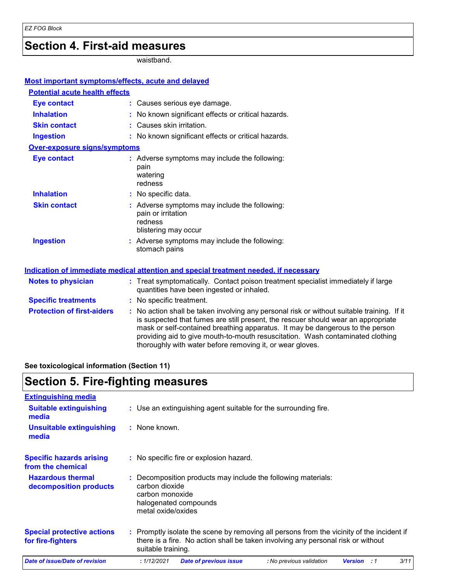### **Section 4. First-aid measures**

waistband.

| <b>Most important symptoms/effects, acute and delayed</b> |                                                                                                                                                                                                                                                                                                                                                                                                                 |
|-----------------------------------------------------------|-----------------------------------------------------------------------------------------------------------------------------------------------------------------------------------------------------------------------------------------------------------------------------------------------------------------------------------------------------------------------------------------------------------------|
| <b>Potential acute health effects</b>                     |                                                                                                                                                                                                                                                                                                                                                                                                                 |
| <b>Eye contact</b>                                        | : Causes serious eye damage.                                                                                                                                                                                                                                                                                                                                                                                    |
| <b>Inhalation</b>                                         | : No known significant effects or critical hazards.                                                                                                                                                                                                                                                                                                                                                             |
| <b>Skin contact</b>                                       | : Causes skin irritation.                                                                                                                                                                                                                                                                                                                                                                                       |
| <b>Ingestion</b>                                          | : No known significant effects or critical hazards.                                                                                                                                                                                                                                                                                                                                                             |
| <b>Over-exposure signs/symptoms</b>                       |                                                                                                                                                                                                                                                                                                                                                                                                                 |
| <b>Eye contact</b>                                        | : Adverse symptoms may include the following:<br>pain<br>watering<br>redness                                                                                                                                                                                                                                                                                                                                    |
| <b>Inhalation</b>                                         | : No specific data.                                                                                                                                                                                                                                                                                                                                                                                             |
| <b>Skin contact</b>                                       | : Adverse symptoms may include the following:<br>pain or irritation<br>redness<br>blistering may occur                                                                                                                                                                                                                                                                                                          |
| <b>Ingestion</b>                                          | : Adverse symptoms may include the following:<br>stomach pains                                                                                                                                                                                                                                                                                                                                                  |
|                                                           | Indication of immediate medical attention and special treatment needed, if necessary                                                                                                                                                                                                                                                                                                                            |
| <b>Notes to physician</b>                                 | : Treat symptomatically. Contact poison treatment specialist immediately if large<br>quantities have been ingested or inhaled.                                                                                                                                                                                                                                                                                  |
| <b>Specific treatments</b>                                | : No specific treatment.                                                                                                                                                                                                                                                                                                                                                                                        |
| <b>Protection of first-aiders</b>                         | : No action shall be taken involving any personal risk or without suitable training. If it<br>is suspected that fumes are still present, the rescuer should wear an appropriate<br>mask or self-contained breathing apparatus. It may be dangerous to the person<br>providing aid to give mouth-to-mouth resuscitation. Wash contaminated clothing<br>thoroughly with water before removing it, or wear gloves. |

**See toxicological information (Section 11)**

# **Section 5. Fire-fighting measures**

| <b>Extinguishing media</b>                             |                                                                                                                                                                                                     |
|--------------------------------------------------------|-----------------------------------------------------------------------------------------------------------------------------------------------------------------------------------------------------|
| <b>Suitable extinguishing</b><br>media                 | : Use an extinguishing agent suitable for the surrounding fire.                                                                                                                                     |
| Unsuitable extinguishing<br>media                      | : None known.                                                                                                                                                                                       |
| <b>Specific hazards arising</b><br>from the chemical   | : No specific fire or explosion hazard.                                                                                                                                                             |
| <b>Hazardous thermal</b><br>decomposition products     | Decomposition products may include the following materials:<br>carbon dioxide<br>carbon monoxide<br>halogenated compounds<br>metal oxide/oxides                                                     |
| <b>Special protective actions</b><br>for fire-fighters | : Promptly isolate the scene by removing all persons from the vicinity of the incident if<br>there is a fire. No action shall be taken involving any personal risk or without<br>suitable training. |
| Date of issue/Date of revision                         | 3/11<br>: 1/12/2021<br><b>Date of previous issue</b><br>: No previous validation<br><b>Version</b><br>:1                                                                                            |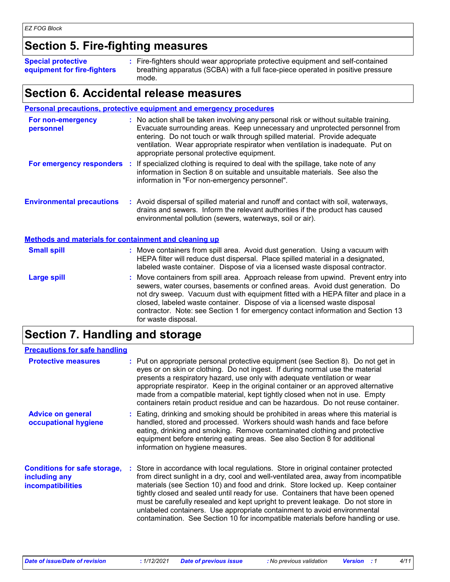### **Section 5. Fire-fighting measures**

**Special protective equipment for fire-fighters** Fire-fighters should wear appropriate protective equipment and self-contained **:** breathing apparatus (SCBA) with a full face-piece operated in positive pressure mode.

### **Section 6. Accidental release measures**

|                                                              | <b>Personal precautions, protective equipment and emergency procedures</b>                                                                                                                                                                                                                                                                                                                                                                         |
|--------------------------------------------------------------|----------------------------------------------------------------------------------------------------------------------------------------------------------------------------------------------------------------------------------------------------------------------------------------------------------------------------------------------------------------------------------------------------------------------------------------------------|
| For non-emergency<br>personnel                               | : No action shall be taken involving any personal risk or without suitable training.<br>Evacuate surrounding areas. Keep unnecessary and unprotected personnel from<br>entering. Do not touch or walk through spilled material. Provide adequate<br>ventilation. Wear appropriate respirator when ventilation is inadequate. Put on<br>appropriate personal protective equipment.                                                                  |
| For emergency responders                                     | : If specialized clothing is required to deal with the spillage, take note of any<br>information in Section 8 on suitable and unsuitable materials. See also the<br>information in "For non-emergency personnel".                                                                                                                                                                                                                                  |
| <b>Environmental precautions</b>                             | : Avoid dispersal of spilled material and runoff and contact with soil, waterways,<br>drains and sewers. Inform the relevant authorities if the product has caused<br>environmental pollution (sewers, waterways, soil or air).                                                                                                                                                                                                                    |
| <b>Methods and materials for containment and cleaning up</b> |                                                                                                                                                                                                                                                                                                                                                                                                                                                    |
| <b>Small spill</b>                                           | : Move containers from spill area. Avoid dust generation. Using a vacuum with<br>HEPA filter will reduce dust dispersal. Place spilled material in a designated,<br>labeled waste container. Dispose of via a licensed waste disposal contractor.                                                                                                                                                                                                  |
| <b>Large spill</b>                                           | : Move containers from spill area. Approach release from upwind. Prevent entry into<br>sewers, water courses, basements or confined areas. Avoid dust generation. Do<br>not dry sweep. Vacuum dust with equipment fitted with a HEPA filter and place in a<br>closed, labeled waste container. Dispose of via a licensed waste disposal<br>contractor. Note: see Section 1 for emergency contact information and Section 13<br>for waste disposal. |

# **Section 7. Handling and storage**

| <b>Precautions for safe handling</b>                                             |                                                                                                                                                                                                                                                                                                                                                                                                                                                                                                                                                                                                     |
|----------------------------------------------------------------------------------|-----------------------------------------------------------------------------------------------------------------------------------------------------------------------------------------------------------------------------------------------------------------------------------------------------------------------------------------------------------------------------------------------------------------------------------------------------------------------------------------------------------------------------------------------------------------------------------------------------|
| <b>Protective measures</b>                                                       | : Put on appropriate personal protective equipment (see Section 8). Do not get in<br>eyes or on skin or clothing. Do not ingest. If during normal use the material<br>presents a respiratory hazard, use only with adequate ventilation or wear<br>appropriate respirator. Keep in the original container or an approved alternative<br>made from a compatible material, kept tightly closed when not in use. Empty<br>containers retain product residue and can be hazardous. Do not reuse container.                                                                                              |
| <b>Advice on general</b><br>occupational hygiene                                 | : Eating, drinking and smoking should be prohibited in areas where this material is<br>handled, stored and processed. Workers should wash hands and face before<br>eating, drinking and smoking. Remove contaminated clothing and protective<br>equipment before entering eating areas. See also Section 8 for additional<br>information on hygiene measures.                                                                                                                                                                                                                                       |
| <b>Conditions for safe storage,</b><br>including any<br><b>incompatibilities</b> | : Store in accordance with local regulations. Store in original container protected<br>from direct sunlight in a dry, cool and well-ventilated area, away from incompatible<br>materials (see Section 10) and food and drink. Store locked up. Keep container<br>tightly closed and sealed until ready for use. Containers that have been opened<br>must be carefully resealed and kept upright to prevent leakage. Do not store in<br>unlabeled containers. Use appropriate containment to avoid environmental<br>contamination. See Section 10 for incompatible materials before handling or use. |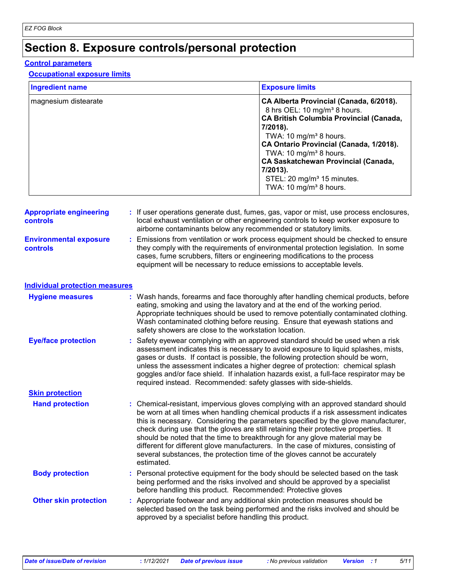# **Section 8. Exposure controls/personal protection**

#### **Control parameters**

#### **Occupational exposure limits**

| <b>Ingredient name</b> | <b>Exposure limits</b>                                                                                                                                                                                                                                                                                                                                                                                             |
|------------------------|--------------------------------------------------------------------------------------------------------------------------------------------------------------------------------------------------------------------------------------------------------------------------------------------------------------------------------------------------------------------------------------------------------------------|
| magnesium distearate   | CA Alberta Provincial (Canada, 6/2018).<br>8 hrs OEL: 10 mg/m <sup>3</sup> 8 hours.<br><b>CA British Columbia Provincial (Canada,</b><br>7/2018).<br>TWA: 10 mg/m <sup>3</sup> 8 hours.<br>CA Ontario Provincial (Canada, 1/2018).<br>TWA: 10 mg/m <sup>3</sup> 8 hours.<br><b>CA Saskatchewan Provincial (Canada,</b><br>7/2013).<br>STEL: 20 mg/m <sup>3</sup> 15 minutes.<br>TWA: 10 mg/m <sup>3</sup> 8 hours. |

| <b>Appropriate engineering</b><br><b>controls</b> | : If user operations generate dust, fumes, gas, vapor or mist, use process enclosures,<br>local exhaust ventilation or other engineering controls to keep worker exposure to<br>airborne contaminants below any recommended or statutory limits.                                                                                |
|---------------------------------------------------|---------------------------------------------------------------------------------------------------------------------------------------------------------------------------------------------------------------------------------------------------------------------------------------------------------------------------------|
| <b>Environmental exposure</b><br><b>controls</b>  | : Emissions from ventilation or work process equipment should be checked to ensure<br>they comply with the requirements of environmental protection legislation. In some<br>cases, fume scrubbers, filters or engineering modifications to the process<br>equipment will be necessary to reduce emissions to acceptable levels. |

| Individual protection measures |  |
|--------------------------------|--|
|--------------------------------|--|

| <b>Hygiene measures</b>      | : Wash hands, forearms and face thoroughly after handling chemical products, before<br>eating, smoking and using the lavatory and at the end of the working period.<br>Appropriate techniques should be used to remove potentially contaminated clothing.<br>Wash contaminated clothing before reusing. Ensure that eyewash stations and<br>safety showers are close to the workstation location.                                                                                                                                                                                                                         |
|------------------------------|---------------------------------------------------------------------------------------------------------------------------------------------------------------------------------------------------------------------------------------------------------------------------------------------------------------------------------------------------------------------------------------------------------------------------------------------------------------------------------------------------------------------------------------------------------------------------------------------------------------------------|
| <b>Eye/face protection</b>   | Safety eyewear complying with an approved standard should be used when a risk<br>assessment indicates this is necessary to avoid exposure to liquid splashes, mists,<br>gases or dusts. If contact is possible, the following protection should be worn,<br>unless the assessment indicates a higher degree of protection: chemical splash<br>goggles and/or face shield. If inhalation hazards exist, a full-face respirator may be<br>required instead. Recommended: safety glasses with side-shields.                                                                                                                  |
| <b>Skin protection</b>       |                                                                                                                                                                                                                                                                                                                                                                                                                                                                                                                                                                                                                           |
| <b>Hand protection</b>       | : Chemical-resistant, impervious gloves complying with an approved standard should<br>be worn at all times when handling chemical products if a risk assessment indicates<br>this is necessary. Considering the parameters specified by the glove manufacturer,<br>check during use that the gloves are still retaining their protective properties. It<br>should be noted that the time to breakthrough for any glove material may be<br>different for different glove manufacturers. In the case of mixtures, consisting of<br>several substances, the protection time of the gloves cannot be accurately<br>estimated. |
| <b>Body protection</b>       | : Personal protective equipment for the body should be selected based on the task<br>being performed and the risks involved and should be approved by a specialist<br>before handling this product. Recommended: Protective gloves                                                                                                                                                                                                                                                                                                                                                                                        |
| <b>Other skin protection</b> | : Appropriate footwear and any additional skin protection measures should be<br>selected based on the task being performed and the risks involved and should be<br>approved by a specialist before handling this product.                                                                                                                                                                                                                                                                                                                                                                                                 |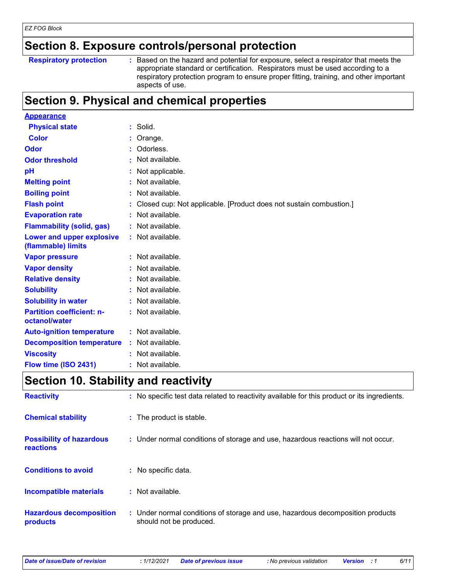### **Section 8. Exposure controls/personal protection**

#### **Respiratory protection :**

: Based on the hazard and potential for exposure, select a respirator that meets the appropriate standard or certification. Respirators must be used according to a respiratory protection program to ensure proper fitting, training, and other important aspects of use.

### **Section 9. Physical and chemical properties**

| <b>Appearance</b>                                      |                                                                    |
|--------------------------------------------------------|--------------------------------------------------------------------|
| <b>Physical state</b>                                  | $:$ Solid.                                                         |
| <b>Color</b>                                           | Orange.                                                            |
| Odor                                                   | Odorless.                                                          |
| <b>Odor threshold</b>                                  | Not available.                                                     |
| pH                                                     | Not applicable.                                                    |
| <b>Melting point</b>                                   | Not available.                                                     |
| <b>Boiling point</b>                                   | Not available.                                                     |
| <b>Flash point</b>                                     | Closed cup: Not applicable. [Product does not sustain combustion.] |
| <b>Evaporation rate</b>                                | Not available.                                                     |
| <b>Flammability (solid, gas)</b>                       | Not available.                                                     |
| <b>Lower and upper explosive</b><br>(flammable) limits | : Not available.                                                   |
| <b>Vapor pressure</b>                                  | $:$ Not available.                                                 |
| <b>Vapor density</b>                                   | Not available.                                                     |
| <b>Relative density</b>                                | Not available.                                                     |
| <b>Solubility</b>                                      | Not available.                                                     |
| <b>Solubility in water</b>                             | Not available.                                                     |
| <b>Partition coefficient: n-</b><br>octanol/water      | : Not available.                                                   |
| <b>Auto-ignition temperature</b>                       | $:$ Not available.                                                 |
| <b>Decomposition temperature</b>                       | $:$ Not available.                                                 |
| <b>Viscosity</b>                                       | : Not available.                                                   |
| Flow time (ISO 2431)                                   | : Not available.                                                   |

### **Section 10. Stability and reactivity**

| <b>Reactivity</b>                            | : No specific test data related to reactivity available for this product or its ingredients.              |
|----------------------------------------------|-----------------------------------------------------------------------------------------------------------|
| <b>Chemical stability</b>                    | : The product is stable.                                                                                  |
| <b>Possibility of hazardous</b><br>reactions | : Under normal conditions of storage and use, hazardous reactions will not occur.                         |
| <b>Conditions to avoid</b>                   | : No specific data.                                                                                       |
| <b>Incompatible materials</b>                | : Not available.                                                                                          |
| <b>Hazardous decomposition</b><br>products   | : Under normal conditions of storage and use, hazardous decomposition products<br>should not be produced. |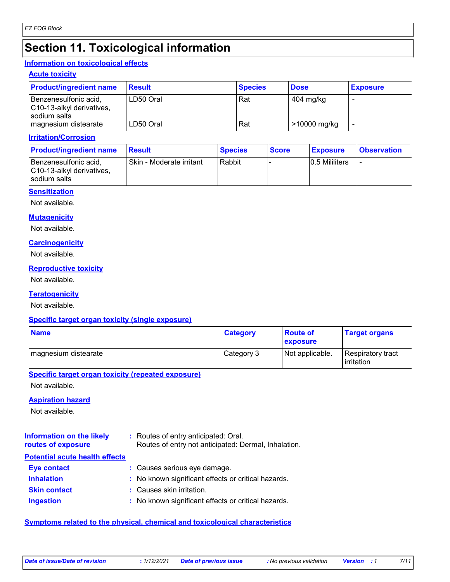### **Section 11. Toxicological information**

#### **Information on toxicological effects**

#### **Acute toxicity**

| <b>Product/ingredient name</b>                                     | <b>Result</b> | <b>Species</b> | <b>Dose</b>  | <b>Exposure</b> |
|--------------------------------------------------------------------|---------------|----------------|--------------|-----------------|
| Benzenesulfonic acid,<br>C10-13-alkyl derivatives,<br>sodium salts | LD50 Oral     | Rat            | 404 mg/kg    |                 |
| magnesium distearate                                               | LD50 Oral     | Rat            | >10000 mg/kg |                 |

#### **Irritation/Corrosion**

| <b>Product/ingredient name</b>                                       | <b>Result</b>            | <b>Species</b> | <b>Score</b> | <b>Exposure</b> | <b>Observation</b> |
|----------------------------------------------------------------------|--------------------------|----------------|--------------|-----------------|--------------------|
| l Benzenesulfonic acid.<br>C10-13-alkyl derivatives,<br>sodium salts | Skin - Moderate irritant | Rabbit         |              | 0.5 Mililiters  |                    |

#### **Sensitization**

Not available.

#### **Mutagenicity**

Not available.

#### **Carcinogenicity**

Not available.

#### **Reproductive toxicity**

Not available.

#### **Teratogenicity**

Not available.

#### **Specific target organ toxicity (single exposure)**

| <b>Name</b>          | <b>Category</b> | <b>Boute of</b><br>exposure | <b>Target organs</b>            |
|----------------------|-----------------|-----------------------------|---------------------------------|
| magnesium distearate | Category 3      | Not applicable.             | Respiratory tract<br>irritation |

#### **Specific target organ toxicity (repeated exposure)**

Not available.

#### **Aspiration hazard**

Not available.

| <b>Information on the likely</b><br>routes of exposure | : Routes of entry anticipated: Oral.<br>Routes of entry not anticipated: Dermal, Inhalation. |
|--------------------------------------------------------|----------------------------------------------------------------------------------------------|
| <b>Potential acute health effects</b>                  |                                                                                              |
| <b>Eye contact</b>                                     | : Causes serious eye damage.                                                                 |
| <b>Inhalation</b>                                      | : No known significant effects or critical hazards.                                          |
| <b>Skin contact</b>                                    | : Causes skin irritation.                                                                    |
| <b>Ingestion</b>                                       | : No known significant effects or critical hazards.                                          |

#### **Symptoms related to the physical, chemical and toxicological characteristics**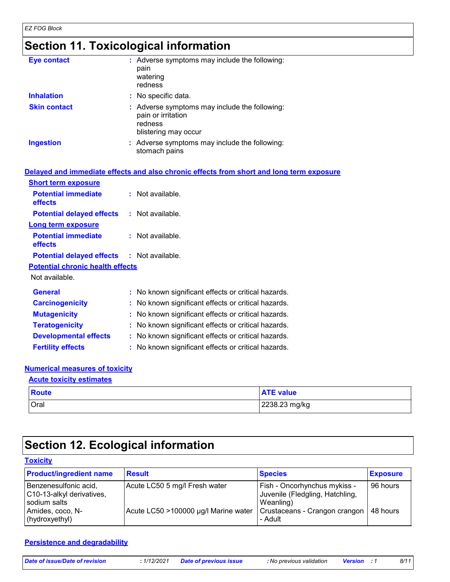# **Section 11. Toxicological information**

| <b>Eye contact</b>  | : Adverse symptoms may include the following:<br>pain<br>watering<br>redness                           |
|---------------------|--------------------------------------------------------------------------------------------------------|
| <b>Inhalation</b>   | : No specific data.                                                                                    |
| <b>Skin contact</b> | : Adverse symptoms may include the following:<br>pain or irritation<br>redness<br>blistering may occur |
| <b>Ingestion</b>    | : Adverse symptoms may include the following:<br>stomach pains                                         |

|                                                   | Delayed and immediate effects and also chronic effects from short and long term exposure |
|---------------------------------------------------|------------------------------------------------------------------------------------------|
| <b>Short term exposure</b>                        |                                                                                          |
| <b>Potential immediate</b><br>effects             | $:$ Not available.                                                                       |
| <b>Potential delayed effects : Not available.</b> |                                                                                          |
| <b>Long term exposure</b>                         |                                                                                          |
| <b>Potential immediate</b><br>effects             | $:$ Not available.                                                                       |
| <b>Potential delayed effects : Not available.</b> |                                                                                          |
| <b>Potential chronic health effects</b>           |                                                                                          |
| Not available.                                    |                                                                                          |
| <b>General</b>                                    | : No known significant effects or critical hazards.                                      |
| <b>Carcinogenicity</b>                            | : No known significant effects or critical hazards.                                      |
| <b>Mutagenicity</b>                               | : No known significant effects or critical hazards.                                      |
| <b>Teratogenicity</b>                             | : No known significant effects or critical hazards.                                      |
| <b>Developmental effects</b>                      | : No known significant effects or critical hazards.                                      |
| <b>Fertility effects</b>                          | : No known significant effects or critical hazards.                                      |

### **Numerical measures of toxicity**

| <b>Acute toxicity estimates</b> |                  |  |  |
|---------------------------------|------------------|--|--|
| Route                           | <b>ATE value</b> |  |  |
| Oral                            | 2238.23 mg/kg    |  |  |

# **Section 12. Ecological information**

#### **Toxicity**

| <b>Product/ingredient name</b>                                                                           | <b>Result</b>                                                         | <b>Species</b>                                                                                                                      | <b>Exposure</b> |
|----------------------------------------------------------------------------------------------------------|-----------------------------------------------------------------------|-------------------------------------------------------------------------------------------------------------------------------------|-----------------|
| Benzenesulfonic acid,<br>C10-13-alkyl derivatives,<br>sodium salts<br>Amides, coco, N-<br>(hydroxyethyl) | Acute LC50 5 mg/l Fresh water<br>Acute LC50 >100000 µg/l Marine water | Fish - Oncorhynchus mykiss -<br>Juvenile (Fledgling, Hatchling,<br>Weanling)<br>Crustaceans - Crangon crangon   48 hours<br>- Adult | 96 hours        |

### **Persistence and degradability**

| Date of issue/Date of revision | 1/12/2021 | <b>Date of previous issue</b> | : No previous validation | <b>Version</b> : 1 | 8/11 |
|--------------------------------|-----------|-------------------------------|--------------------------|--------------------|------|
|--------------------------------|-----------|-------------------------------|--------------------------|--------------------|------|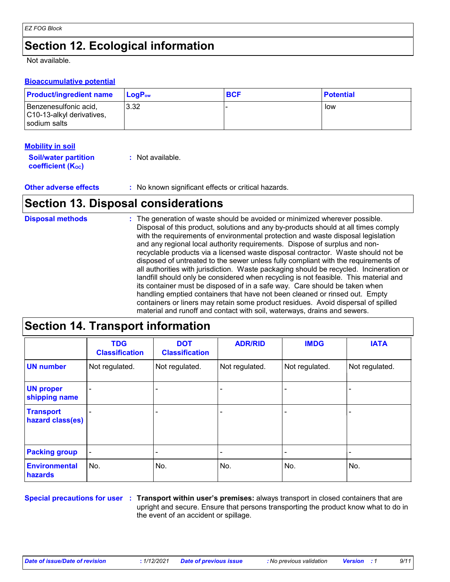### **Section 12. Ecological information**

Not available.

#### **Bioaccumulative potential**

| <b>Product/ingredient name</b>                                       | <b>LogP</b> <sub>ow</sub> | <b>BCF</b> | <b>Potential</b> |
|----------------------------------------------------------------------|---------------------------|------------|------------------|
| Benzenesulfonic acid,<br>C10-13-alkyl derivatives,<br>l sodium salts | 3.32                      |            | low              |

#### **Mobility in soil**

| <b>Soil/water partition</b> | $:$ Not available. |
|-----------------------------|--------------------|
| <b>coefficient (Koc)</b>    |                    |

**Other adverse effects** : No known significant effects or critical hazards.

### **Section 13. Disposal considerations**

| <b>Disposal methods</b> | : The generation of waste should be avoided or minimized wherever possible.<br>Disposal of this product, solutions and any by-products should at all times comply<br>with the requirements of environmental protection and waste disposal legislation<br>and any regional local authority requirements. Dispose of surplus and non-<br>recyclable products via a licensed waste disposal contractor. Waste should not be<br>disposed of untreated to the sewer unless fully compliant with the requirements of<br>all authorities with jurisdiction. Waste packaging should be recycled. Incineration or<br>landfill should only be considered when recycling is not feasible. This material and<br>its container must be disposed of in a safe way. Care should be taken when<br>handling emptied containers that have not been cleaned or rinsed out. Empty |
|-------------------------|---------------------------------------------------------------------------------------------------------------------------------------------------------------------------------------------------------------------------------------------------------------------------------------------------------------------------------------------------------------------------------------------------------------------------------------------------------------------------------------------------------------------------------------------------------------------------------------------------------------------------------------------------------------------------------------------------------------------------------------------------------------------------------------------------------------------------------------------------------------|
|                         | containers or liners may retain some product residues. Avoid dispersal of spilled<br>material and runoff and contact with soil, waterways, drains and sewers.                                                                                                                                                                                                                                                                                                                                                                                                                                                                                                                                                                                                                                                                                                 |

### **Section 14. Transport information**

|                                      | <b>TDG</b><br><b>Classification</b> | <b>DOT</b><br><b>Classification</b> | <b>ADR/RID</b> | <b>IMDG</b>    | <b>IATA</b>    |
|--------------------------------------|-------------------------------------|-------------------------------------|----------------|----------------|----------------|
| <b>UN number</b>                     | Not regulated.                      | Not regulated.                      | Not regulated. | Not regulated. | Not regulated. |
| <b>UN proper</b><br>shipping name    | $\overline{a}$                      |                                     |                |                |                |
| <b>Transport</b><br>hazard class(es) |                                     |                                     |                |                |                |
| <b>Packing group</b>                 | $\blacksquare$                      |                                     |                |                |                |
| <b>Environmental</b><br>hazards      | No.                                 | No.                                 | No.            | No.            | No.            |

**Special precautions for user Transport within user's premises:** always transport in closed containers that are **:** upright and secure. Ensure that persons transporting the product know what to do in the event of an accident or spillage.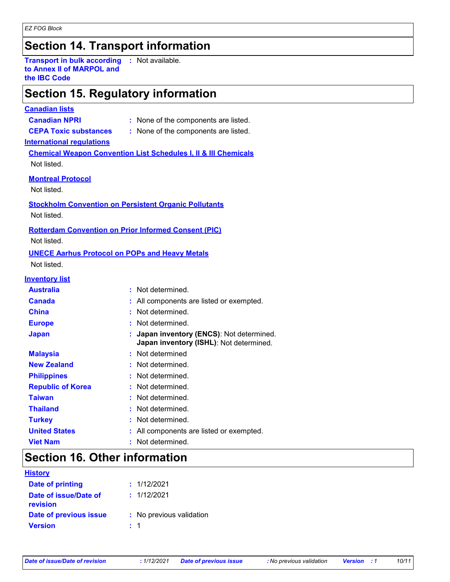### **Section 14. Transport information**

**Transport in bulk according to Annex II of MARPOL and the IBC Code :** Not available.

### **Section 15. Regulatory information**

#### **Canadian lists**

- **Canadian NPRI :** None of the components are listed.
- **CEPA Toxic substances :** None of the components are listed.

#### **International regulations**

**Chemical Weapon Convention List Schedules I, II & III Chemicals** Not listed.

#### **Montreal Protocol**

Not listed.

**Stockholm Convention on Persistent Organic Pollutants**

Not listed.

#### **Rotterdam Convention on Prior Informed Consent (PIC)**

Not listed.

### **UNECE Aarhus Protocol on POPs and Heavy Metals**

Not listed.

#### **Inventory list**

| <b>Australia</b>         | : Not determined.                                                                    |
|--------------------------|--------------------------------------------------------------------------------------|
| <b>Canada</b>            | : All components are listed or exempted.                                             |
| <b>China</b>             | : Not determined.                                                                    |
| <b>Europe</b>            | : Not determined.                                                                    |
| <b>Japan</b>             | : Japan inventory (ENCS): Not determined.<br>Japan inventory (ISHL): Not determined. |
| <b>Malaysia</b>          | : Not determined                                                                     |
| <b>New Zealand</b>       | : Not determined.                                                                    |
| <b>Philippines</b>       | : Not determined.                                                                    |
| <b>Republic of Korea</b> | : Not determined.                                                                    |
| <b>Taiwan</b>            | : Not determined.                                                                    |
| <b>Thailand</b>          | : Not determined.                                                                    |
| <b>Turkey</b>            | : Not determined.                                                                    |
| <b>United States</b>     | : All components are listed or exempted.                                             |
| <b>Viet Nam</b>          | : Not determined.                                                                    |

### **Section 16. Other information**

| <b>History</b>                    |                          |
|-----------------------------------|--------------------------|
| <b>Date of printing</b>           | : 1/12/2021              |
| Date of issue/Date of<br>revision | : 1/12/2021              |
| Date of previous issue            | : No previous validation |
| <b>Version</b>                    | : 1                      |